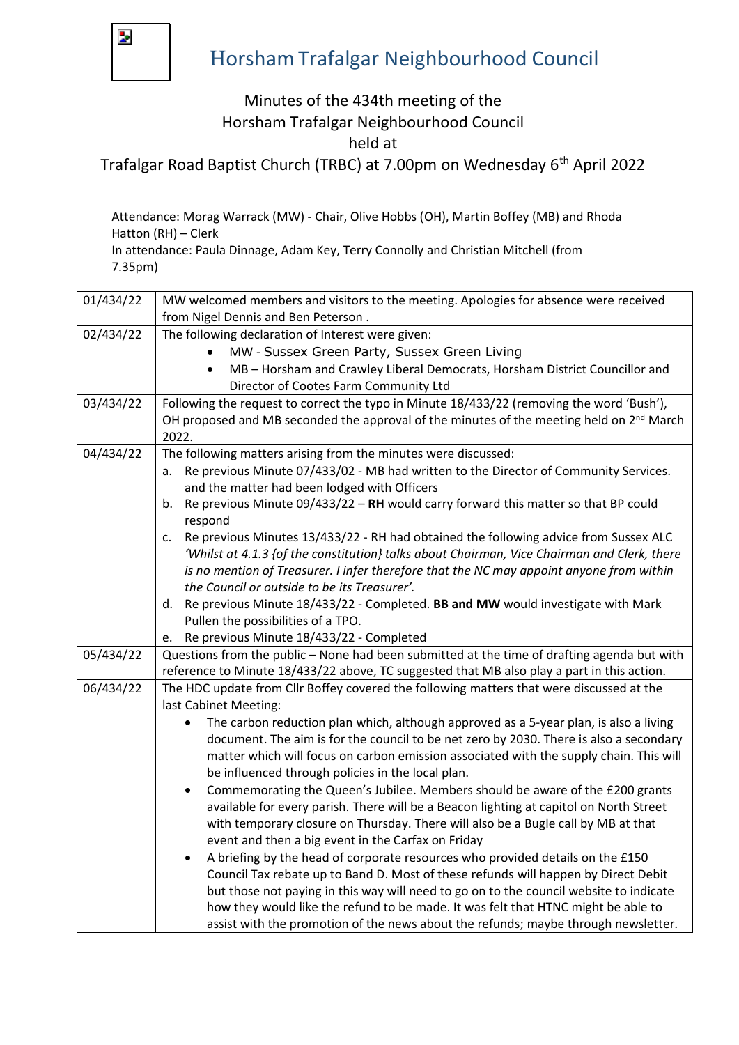

## Horsham Trafalgar Neighbourhood Council

## Minutes of the 434th meeting of the Horsham Trafalgar Neighbourhood Council

held at

Trafalgar Road Baptist Church (TRBC) at 7.00pm on Wednesday 6<sup>th</sup> April 2022

Attendance: Morag Warrack (MW) - Chair, Olive Hobbs (OH), Martin Boffey (MB) and Rhoda Hatton (RH) – Clerk

In attendance: Paula Dinnage, Adam Key, Terry Connolly and Christian Mitchell (from 7.35pm)

| 01/434/22 | MW welcomed members and visitors to the meeting. Apologies for absence were received                                                                                                 |
|-----------|--------------------------------------------------------------------------------------------------------------------------------------------------------------------------------------|
|           | from Nigel Dennis and Ben Peterson.                                                                                                                                                  |
| 02/434/22 | The following declaration of Interest were given:                                                                                                                                    |
|           | MW - Sussex Green Party, Sussex Green Living                                                                                                                                         |
|           | MB - Horsham and Crawley Liberal Democrats, Horsham District Councillor and<br>$\bullet$                                                                                             |
|           | Director of Cootes Farm Community Ltd                                                                                                                                                |
| 03/434/22 | Following the request to correct the typo in Minute 18/433/22 (removing the word 'Bush'),                                                                                            |
|           | OH proposed and MB seconded the approval of the minutes of the meeting held on 2 <sup>nd</sup> March                                                                                 |
|           | 2022.                                                                                                                                                                                |
| 04/434/22 | The following matters arising from the minutes were discussed:                                                                                                                       |
|           | Re previous Minute 07/433/02 - MB had written to the Director of Community Services.<br>a.                                                                                           |
|           | and the matter had been lodged with Officers                                                                                                                                         |
|           | Re previous Minute 09/433/22 - RH would carry forward this matter so that BP could<br>b.                                                                                             |
|           | respond                                                                                                                                                                              |
|           | Re previous Minutes 13/433/22 - RH had obtained the following advice from Sussex ALC<br>c.                                                                                           |
|           | 'Whilst at 4.1.3 {of the constitution} talks about Chairman, Vice Chairman and Clerk, there                                                                                          |
|           | is no mention of Treasurer. I infer therefore that the NC may appoint anyone from within                                                                                             |
|           | the Council or outside to be its Treasurer'.                                                                                                                                         |
|           | d. Re previous Minute 18/433/22 - Completed. BB and MW would investigate with Mark                                                                                                   |
|           | Pullen the possibilities of a TPO.                                                                                                                                                   |
|           | Re previous Minute 18/433/22 - Completed<br>e.                                                                                                                                       |
| 05/434/22 | Questions from the public - None had been submitted at the time of drafting agenda but with                                                                                          |
|           | reference to Minute 18/433/22 above, TC suggested that MB also play a part in this action.                                                                                           |
| 06/434/22 | The HDC update from Cllr Boffey covered the following matters that were discussed at the                                                                                             |
|           | last Cabinet Meeting:                                                                                                                                                                |
|           | The carbon reduction plan which, although approved as a 5-year plan, is also a living<br>$\bullet$                                                                                   |
|           | document. The aim is for the council to be net zero by 2030. There is also a secondary                                                                                               |
|           | matter which will focus on carbon emission associated with the supply chain. This will                                                                                               |
|           | be influenced through policies in the local plan.                                                                                                                                    |
|           | Commemorating the Queen's Jubilee. Members should be aware of the £200 grants<br>$\bullet$<br>available for every parish. There will be a Beacon lighting at capitol on North Street |
|           | with temporary closure on Thursday. There will also be a Bugle call by MB at that                                                                                                    |
|           | event and then a big event in the Carfax on Friday                                                                                                                                   |
|           | A briefing by the head of corporate resources who provided details on the £150                                                                                                       |
|           | Council Tax rebate up to Band D. Most of these refunds will happen by Direct Debit                                                                                                   |
|           | but those not paying in this way will need to go on to the council website to indicate                                                                                               |
|           | how they would like the refund to be made. It was felt that HTNC might be able to                                                                                                    |
|           |                                                                                                                                                                                      |
|           | assist with the promotion of the news about the refunds; maybe through newsletter.                                                                                                   |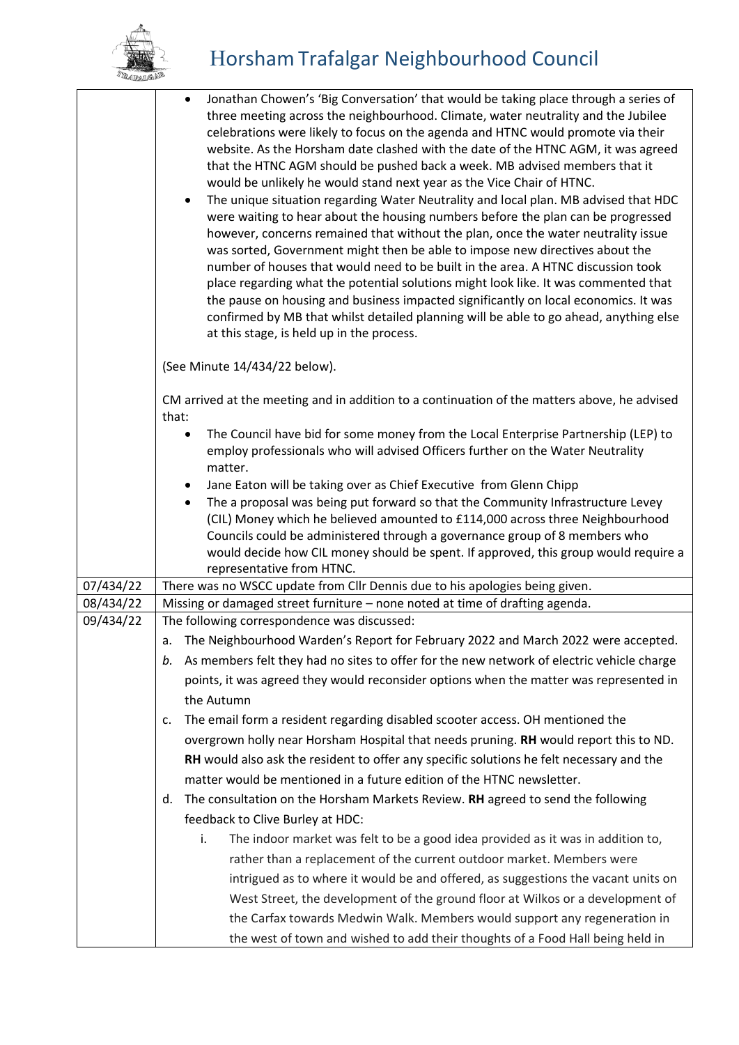

|           | Jonathan Chowen's 'Big Conversation' that would be taking place through a series of<br>$\bullet$<br>three meeting across the neighbourhood. Climate, water neutrality and the Jubilee<br>celebrations were likely to focus on the agenda and HTNC would promote via their<br>website. As the Horsham date clashed with the date of the HTNC AGM, it was agreed<br>that the HTNC AGM should be pushed back a week. MB advised members that it<br>would be unlikely he would stand next year as the Vice Chair of HTNC.<br>The unique situation regarding Water Neutrality and local plan. MB advised that HDC<br>$\bullet$<br>were waiting to hear about the housing numbers before the plan can be progressed<br>however, concerns remained that without the plan, once the water neutrality issue<br>was sorted, Government might then be able to impose new directives about the<br>number of houses that would need to be built in the area. A HTNC discussion took<br>place regarding what the potential solutions might look like. It was commented that<br>the pause on housing and business impacted significantly on local economics. It was<br>confirmed by MB that whilst detailed planning will be able to go ahead, anything else<br>at this stage, is held up in the process. |
|-----------|--------------------------------------------------------------------------------------------------------------------------------------------------------------------------------------------------------------------------------------------------------------------------------------------------------------------------------------------------------------------------------------------------------------------------------------------------------------------------------------------------------------------------------------------------------------------------------------------------------------------------------------------------------------------------------------------------------------------------------------------------------------------------------------------------------------------------------------------------------------------------------------------------------------------------------------------------------------------------------------------------------------------------------------------------------------------------------------------------------------------------------------------------------------------------------------------------------------------------------------------------------------------------------------------|
|           | (See Minute 14/434/22 below).                                                                                                                                                                                                                                                                                                                                                                                                                                                                                                                                                                                                                                                                                                                                                                                                                                                                                                                                                                                                                                                                                                                                                                                                                                                              |
|           | CM arrived at the meeting and in addition to a continuation of the matters above, he advised<br>that:                                                                                                                                                                                                                                                                                                                                                                                                                                                                                                                                                                                                                                                                                                                                                                                                                                                                                                                                                                                                                                                                                                                                                                                      |
|           | The Council have bid for some money from the Local Enterprise Partnership (LEP) to<br>$\bullet$<br>employ professionals who will advised Officers further on the Water Neutrality<br>matter.                                                                                                                                                                                                                                                                                                                                                                                                                                                                                                                                                                                                                                                                                                                                                                                                                                                                                                                                                                                                                                                                                               |
|           | Jane Eaton will be taking over as Chief Executive from Glenn Chipp<br>$\bullet$                                                                                                                                                                                                                                                                                                                                                                                                                                                                                                                                                                                                                                                                                                                                                                                                                                                                                                                                                                                                                                                                                                                                                                                                            |
|           | The a proposal was being put forward so that the Community Infrastructure Levey<br>$\bullet$                                                                                                                                                                                                                                                                                                                                                                                                                                                                                                                                                                                                                                                                                                                                                                                                                                                                                                                                                                                                                                                                                                                                                                                               |
|           | (CIL) Money which he believed amounted to £114,000 across three Neighbourhood<br>Councils could be administered through a governance group of 8 members who<br>would decide how CIL money should be spent. If approved, this group would require a<br>representative from HTNC.                                                                                                                                                                                                                                                                                                                                                                                                                                                                                                                                                                                                                                                                                                                                                                                                                                                                                                                                                                                                            |
| 07/434/22 | There was no WSCC update from Cllr Dennis due to his apologies being given.                                                                                                                                                                                                                                                                                                                                                                                                                                                                                                                                                                                                                                                                                                                                                                                                                                                                                                                                                                                                                                                                                                                                                                                                                |
| 08/434/22 | Missing or damaged street furniture - none noted at time of drafting agenda.                                                                                                                                                                                                                                                                                                                                                                                                                                                                                                                                                                                                                                                                                                                                                                                                                                                                                                                                                                                                                                                                                                                                                                                                               |
| 09/434/22 | The following correspondence was discussed:                                                                                                                                                                                                                                                                                                                                                                                                                                                                                                                                                                                                                                                                                                                                                                                                                                                                                                                                                                                                                                                                                                                                                                                                                                                |
|           | a. The Neighbourhood Warden's Report for February 2022 and March 2022 were accepted.                                                                                                                                                                                                                                                                                                                                                                                                                                                                                                                                                                                                                                                                                                                                                                                                                                                                                                                                                                                                                                                                                                                                                                                                       |
|           | As members felt they had no sites to offer for the new network of electric vehicle charge<br>b.                                                                                                                                                                                                                                                                                                                                                                                                                                                                                                                                                                                                                                                                                                                                                                                                                                                                                                                                                                                                                                                                                                                                                                                            |
|           | points, it was agreed they would reconsider options when the matter was represented in<br>the Autumn                                                                                                                                                                                                                                                                                                                                                                                                                                                                                                                                                                                                                                                                                                                                                                                                                                                                                                                                                                                                                                                                                                                                                                                       |
|           | The email form a resident regarding disabled scooter access. OH mentioned the<br>c.                                                                                                                                                                                                                                                                                                                                                                                                                                                                                                                                                                                                                                                                                                                                                                                                                                                                                                                                                                                                                                                                                                                                                                                                        |
|           | overgrown holly near Horsham Hospital that needs pruning. RH would report this to ND.                                                                                                                                                                                                                                                                                                                                                                                                                                                                                                                                                                                                                                                                                                                                                                                                                                                                                                                                                                                                                                                                                                                                                                                                      |
|           | RH would also ask the resident to offer any specific solutions he felt necessary and the                                                                                                                                                                                                                                                                                                                                                                                                                                                                                                                                                                                                                                                                                                                                                                                                                                                                                                                                                                                                                                                                                                                                                                                                   |
|           | matter would be mentioned in a future edition of the HTNC newsletter.                                                                                                                                                                                                                                                                                                                                                                                                                                                                                                                                                                                                                                                                                                                                                                                                                                                                                                                                                                                                                                                                                                                                                                                                                      |
|           | The consultation on the Horsham Markets Review. RH agreed to send the following<br>d.                                                                                                                                                                                                                                                                                                                                                                                                                                                                                                                                                                                                                                                                                                                                                                                                                                                                                                                                                                                                                                                                                                                                                                                                      |
|           | feedback to Clive Burley at HDC:                                                                                                                                                                                                                                                                                                                                                                                                                                                                                                                                                                                                                                                                                                                                                                                                                                                                                                                                                                                                                                                                                                                                                                                                                                                           |
|           | i.<br>The indoor market was felt to be a good idea provided as it was in addition to,                                                                                                                                                                                                                                                                                                                                                                                                                                                                                                                                                                                                                                                                                                                                                                                                                                                                                                                                                                                                                                                                                                                                                                                                      |
|           |                                                                                                                                                                                                                                                                                                                                                                                                                                                                                                                                                                                                                                                                                                                                                                                                                                                                                                                                                                                                                                                                                                                                                                                                                                                                                            |
|           | rather than a replacement of the current outdoor market. Members were<br>intrigued as to where it would be and offered, as suggestions the vacant units on                                                                                                                                                                                                                                                                                                                                                                                                                                                                                                                                                                                                                                                                                                                                                                                                                                                                                                                                                                                                                                                                                                                                 |
|           |                                                                                                                                                                                                                                                                                                                                                                                                                                                                                                                                                                                                                                                                                                                                                                                                                                                                                                                                                                                                                                                                                                                                                                                                                                                                                            |
|           | West Street, the development of the ground floor at Wilkos or a development of                                                                                                                                                                                                                                                                                                                                                                                                                                                                                                                                                                                                                                                                                                                                                                                                                                                                                                                                                                                                                                                                                                                                                                                                             |
|           | the Carfax towards Medwin Walk. Members would support any regeneration in                                                                                                                                                                                                                                                                                                                                                                                                                                                                                                                                                                                                                                                                                                                                                                                                                                                                                                                                                                                                                                                                                                                                                                                                                  |
|           | the west of town and wished to add their thoughts of a Food Hall being held in                                                                                                                                                                                                                                                                                                                                                                                                                                                                                                                                                                                                                                                                                                                                                                                                                                                                                                                                                                                                                                                                                                                                                                                                             |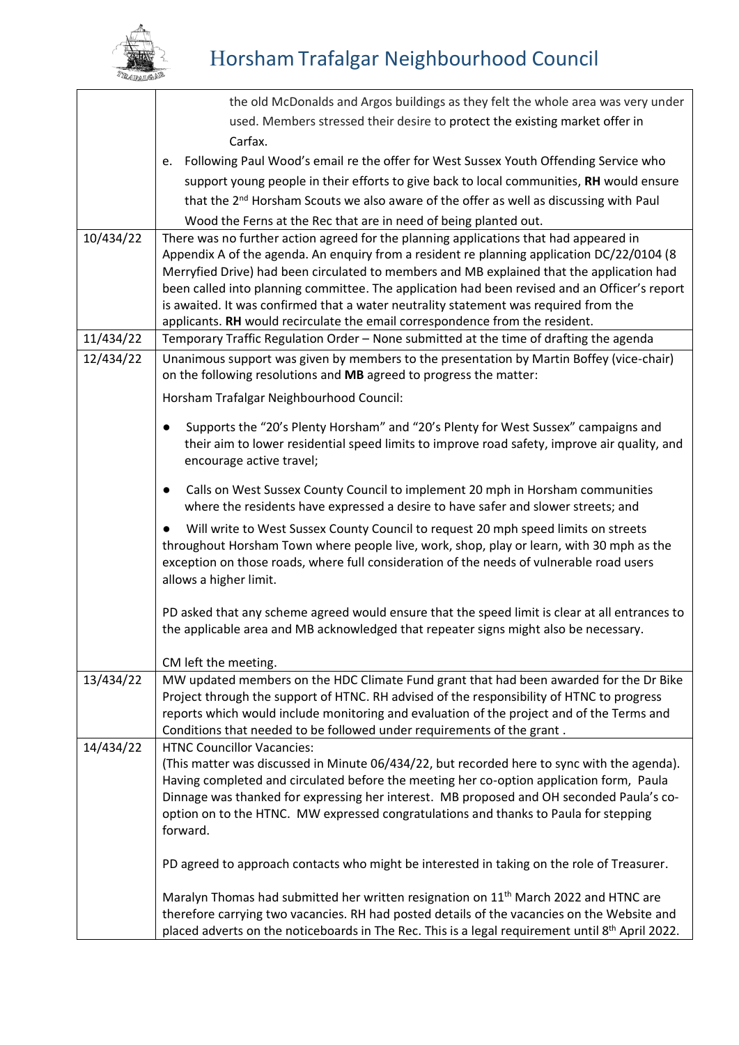

|           | the old McDonalds and Argos buildings as they felt the whole area was very under                                                                                                                                                                                                                                                                                                                                                                                                                                                                          |
|-----------|-----------------------------------------------------------------------------------------------------------------------------------------------------------------------------------------------------------------------------------------------------------------------------------------------------------------------------------------------------------------------------------------------------------------------------------------------------------------------------------------------------------------------------------------------------------|
|           | used. Members stressed their desire to protect the existing market offer in                                                                                                                                                                                                                                                                                                                                                                                                                                                                               |
|           | Carfax.                                                                                                                                                                                                                                                                                                                                                                                                                                                                                                                                                   |
|           | Following Paul Wood's email re the offer for West Sussex Youth Offending Service who<br>e.                                                                                                                                                                                                                                                                                                                                                                                                                                                                |
|           | support young people in their efforts to give back to local communities, RH would ensure                                                                                                                                                                                                                                                                                                                                                                                                                                                                  |
|           | that the 2 <sup>nd</sup> Horsham Scouts we also aware of the offer as well as discussing with Paul                                                                                                                                                                                                                                                                                                                                                                                                                                                        |
|           | Wood the Ferns at the Rec that are in need of being planted out.                                                                                                                                                                                                                                                                                                                                                                                                                                                                                          |
| 10/434/22 | There was no further action agreed for the planning applications that had appeared in<br>Appendix A of the agenda. An enquiry from a resident re planning application DC/22/0104 (8<br>Merryfied Drive) had been circulated to members and MB explained that the application had<br>been called into planning committee. The application had been revised and an Officer's report<br>is awaited. It was confirmed that a water neutrality statement was required from the<br>applicants. RH would recirculate the email correspondence from the resident. |
| 11/434/22 | Temporary Traffic Regulation Order - None submitted at the time of drafting the agenda                                                                                                                                                                                                                                                                                                                                                                                                                                                                    |
| 12/434/22 | Unanimous support was given by members to the presentation by Martin Boffey (vice-chair)<br>on the following resolutions and MB agreed to progress the matter:                                                                                                                                                                                                                                                                                                                                                                                            |
|           | Horsham Trafalgar Neighbourhood Council:                                                                                                                                                                                                                                                                                                                                                                                                                                                                                                                  |
|           | Supports the "20's Plenty Horsham" and "20's Plenty for West Sussex" campaigns and<br>their aim to lower residential speed limits to improve road safety, improve air quality, and<br>encourage active travel;                                                                                                                                                                                                                                                                                                                                            |
|           | Calls on West Sussex County Council to implement 20 mph in Horsham communities<br>$\bullet$<br>where the residents have expressed a desire to have safer and slower streets; and                                                                                                                                                                                                                                                                                                                                                                          |
|           | Will write to West Sussex County Council to request 20 mph speed limits on streets<br>throughout Horsham Town where people live, work, shop, play or learn, with 30 mph as the<br>exception on those roads, where full consideration of the needs of vulnerable road users<br>allows a higher limit.                                                                                                                                                                                                                                                      |
|           | PD asked that any scheme agreed would ensure that the speed limit is clear at all entrances to<br>the applicable area and MB acknowledged that repeater signs might also be necessary.                                                                                                                                                                                                                                                                                                                                                                    |
|           | CM left the meeting.                                                                                                                                                                                                                                                                                                                                                                                                                                                                                                                                      |
| 13/434/22 | MW updated members on the HDC Climate Fund grant that had been awarded for the Dr Bike<br>Project through the support of HTNC. RH advised of the responsibility of HTNC to progress<br>reports which would include monitoring and evaluation of the project and of the Terms and<br>Conditions that needed to be followed under requirements of the grant.                                                                                                                                                                                                |
| 14/434/22 | <b>HTNC Councillor Vacancies:</b><br>(This matter was discussed in Minute 06/434/22, but recorded here to sync with the agenda).<br>Having completed and circulated before the meeting her co-option application form, Paula<br>Dinnage was thanked for expressing her interest. MB proposed and OH seconded Paula's co-<br>option on to the HTNC. MW expressed congratulations and thanks to Paula for stepping<br>forward.<br>PD agreed to approach contacts who might be interested in taking on the role of Treasurer.                                |
|           | Maralyn Thomas had submitted her written resignation on 11 <sup>th</sup> March 2022 and HTNC are<br>therefore carrying two vacancies. RH had posted details of the vacancies on the Website and<br>placed adverts on the noticeboards in The Rec. This is a legal requirement until 8 <sup>th</sup> April 2022.                                                                                                                                                                                                                                           |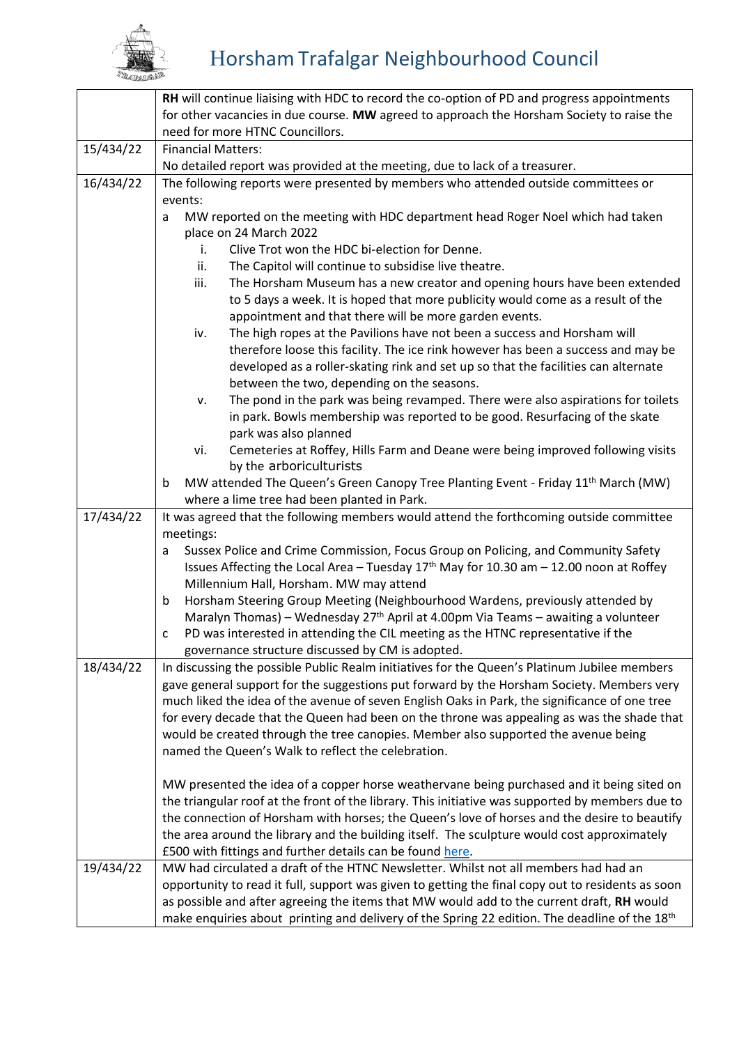

|           | RH will continue liaising with HDC to record the co-option of PD and progress appointments         |
|-----------|----------------------------------------------------------------------------------------------------|
|           | for other vacancies in due course. MW agreed to approach the Horsham Society to raise the          |
|           | need for more HTNC Councillors.                                                                    |
| 15/434/22 | <b>Financial Matters:</b>                                                                          |
|           | No detailed report was provided at the meeting, due to lack of a treasurer.                        |
| 16/434/22 | The following reports were presented by members who attended outside committees or                 |
|           | events:                                                                                            |
|           | MW reported on the meeting with HDC department head Roger Noel which had taken<br>a                |
|           | place on 24 March 2022                                                                             |
|           | Clive Trot won the HDC bi-election for Denne.<br>i.                                                |
|           | ii.<br>The Capitol will continue to subsidise live theatre.                                        |
|           | The Horsham Museum has a new creator and opening hours have been extended<br>iii.                  |
|           | to 5 days a week. It is hoped that more publicity would come as a result of the                    |
|           | appointment and that there will be more garden events.                                             |
|           | The high ropes at the Pavilions have not been a success and Horsham will<br>iv.                    |
|           | therefore loose this facility. The ice rink however has been a success and may be                  |
|           | developed as a roller-skating rink and set up so that the facilities can alternate                 |
|           | between the two, depending on the seasons.                                                         |
|           | The pond in the park was being revamped. There were also aspirations for toilets<br>ν.             |
|           | in park. Bowls membership was reported to be good. Resurfacing of the skate                        |
|           | park was also planned                                                                              |
|           | Cemeteries at Roffey, Hills Farm and Deane were being improved following visits<br>vi.             |
|           | by the arboriculturists                                                                            |
|           | MW attended The Queen's Green Canopy Tree Planting Event - Friday 11 <sup>th</sup> March (MW)<br>b |
| 17/434/22 | where a lime tree had been planted in Park.                                                        |
|           | It was agreed that the following members would attend the forthcoming outside committee            |
|           | meetings:<br>Sussex Police and Crime Commission, Focus Group on Policing, and Community Safety     |
|           | a<br>Issues Affecting the Local Area - Tuesday $17th$ May for 10.30 am - 12.00 noon at Roffey      |
|           | Millennium Hall, Horsham. MW may attend                                                            |
|           | Horsham Steering Group Meeting (Neighbourhood Wardens, previously attended by<br>b                 |
|           | Maralyn Thomas) - Wednesday 27 <sup>th</sup> April at 4.00pm Via Teams - awaiting a volunteer      |
|           | PD was interested in attending the CIL meeting as the HTNC representative if the<br>с              |
|           | governance structure discussed by CM is adopted.                                                   |
| 18/434/22 | In discussing the possible Public Realm initiatives for the Queen's Platinum Jubilee members       |
|           | gave general support for the suggestions put forward by the Horsham Society. Members very          |
|           | much liked the idea of the avenue of seven English Oaks in Park, the significance of one tree      |
|           | for every decade that the Queen had been on the throne was appealing as was the shade that         |
|           | would be created through the tree canopies. Member also supported the avenue being                 |
|           | named the Queen's Walk to reflect the celebration.                                                 |
|           |                                                                                                    |
|           | MW presented the idea of a copper horse weathervane being purchased and it being sited on          |
|           | the triangular roof at the front of the library. This initiative was supported by members due to   |
|           | the connection of Horsham with horses; the Queen's love of horses and the desire to beautify       |
|           | the area around the library and the building itself. The sculpture would cost approximately        |
|           | £500 with fittings and further details can be found here.                                          |
| 19/434/22 | MW had circulated a draft of the HTNC Newsletter. Whilst not all members had had an                |
|           | opportunity to read it full, support was given to getting the final copy out to residents as soon  |
|           | as possible and after agreeing the items that MW would add to the current draft, RH would          |
|           | make enquiries about printing and delivery of the Spring 22 edition. The deadline of the 18th      |